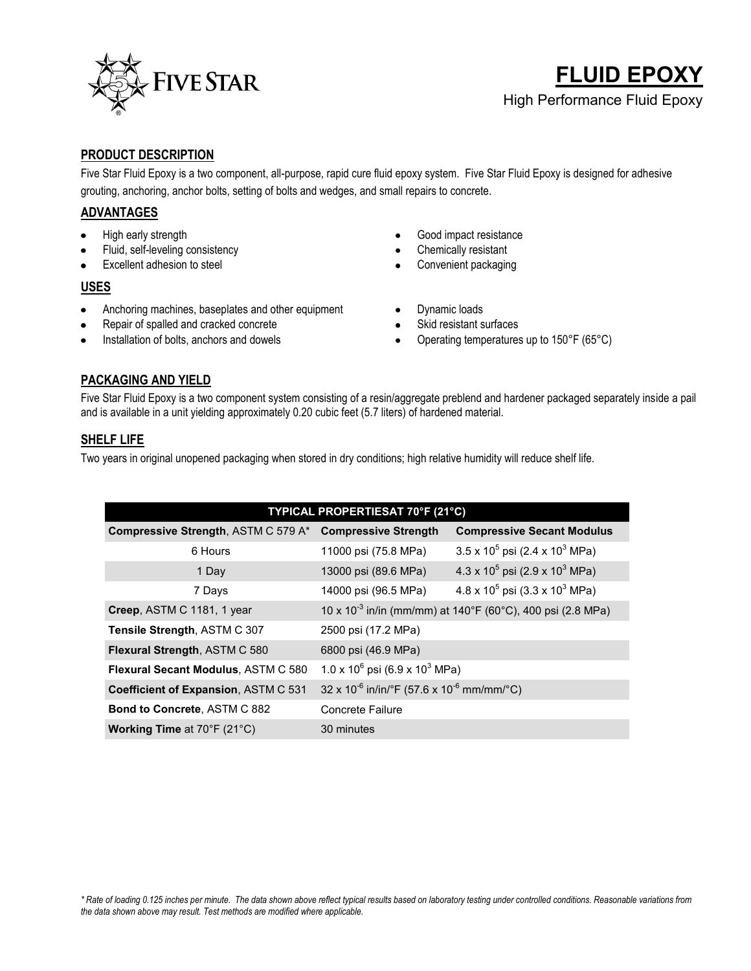

# **FLUID EPOXY** High Performance Fluid Epoxy

## **PRODUCT DESCRIPTION**

Five Star Fluid Epoxy is a two component, all-purpose, rapid cure fluid epoxy system. Five Star Fluid Epoxy is designed for adhesive grouting, anchoring, anchor bolts, setting of bolts and wedges, and small repairs to concrete.

## **ADVANTAGES**

- High early strength
- Fluid, self-leveling consistency
- Excellent adhesion to steel

#### **USES**

- Anchoring machines, baseplates and other equipment  $\bullet$
- Repair of spalled and cracked concrete
- Installation of bolts, anchors and dowels
- Good impact resistance  $\bullet$
- Chemically resistant  $\bullet$
- Convenient packaging
- Dynamic loads  $\bullet$
- Skid resistant surfaces
- Operating temperatures up to 150°F (65°C)  $\bullet$

## **PACKAGING AND YIELD**

Five Star Fluid Epoxy is a two component system consisting of a resin/aggregate preblend and hardener packaged separately inside a pail and is available in a unit yielding approximately 0.20 cubic feet (5.7 liters) of hardened material.

### **SHELF LIFE**

Two years in original unopened packaging when stored in dry conditions; high relative humidity will reduce shelf life.

| TYPICAL PROPERTIESAT 70°F (21°C)                         |                                                                        |                                                   |
|----------------------------------------------------------|------------------------------------------------------------------------|---------------------------------------------------|
| Compressive Strength, ASTM C 579 A* Compressive Strength |                                                                        | <b>Compressive Secant Modulus</b>                 |
| 6 Hours                                                  | 11000 psi (75.8 MPa)                                                   | $3.5 \times 10^5$ psi (2.4 x 10 <sup>3</sup> MPa) |
| 1 Day                                                    | 13000 psi (89.6 MPa)                                                   | $4.3 \times 10^5$ psi (2.9 x 10 <sup>3</sup> MPa) |
| 7 Days                                                   | 14000 psi (96.5 MPa)                                                   | $4.8 \times 10^5$ psi (3.3 x 10 <sup>3</sup> MPa) |
| Creep, ASTM C 1181, 1 year                               | 10 x 10 <sup>-3</sup> in/in (mm/mm) at 140°F (60°C), 400 psi (2.8 MPa) |                                                   |
| Tensile Strength, ASTM C 307                             | 2500 psi (17.2 MPa)                                                    |                                                   |
| Flexural Strength, ASTM C 580                            | 6800 psi (46.9 MPa)                                                    |                                                   |
| <b>Flexural Secant Modulus, ASTM C 580</b>               | $1.0 \times 10^6$ psi (6.9 x 10 <sup>3</sup> MPa)                      |                                                   |
| Coefficient of Expansion, ASTM C 531                     | $32 \times 10^{-6}$ in/in/°F (57.6 x 10 <sup>-6</sup> mm/mm/°C)        |                                                   |
| Bond to Concrete, ASTM C 882                             | Concrete Failure                                                       |                                                   |
| Working Time at 70°F (21°C)                              | 30 minutes                                                             |                                                   |
|                                                          |                                                                        |                                                   |